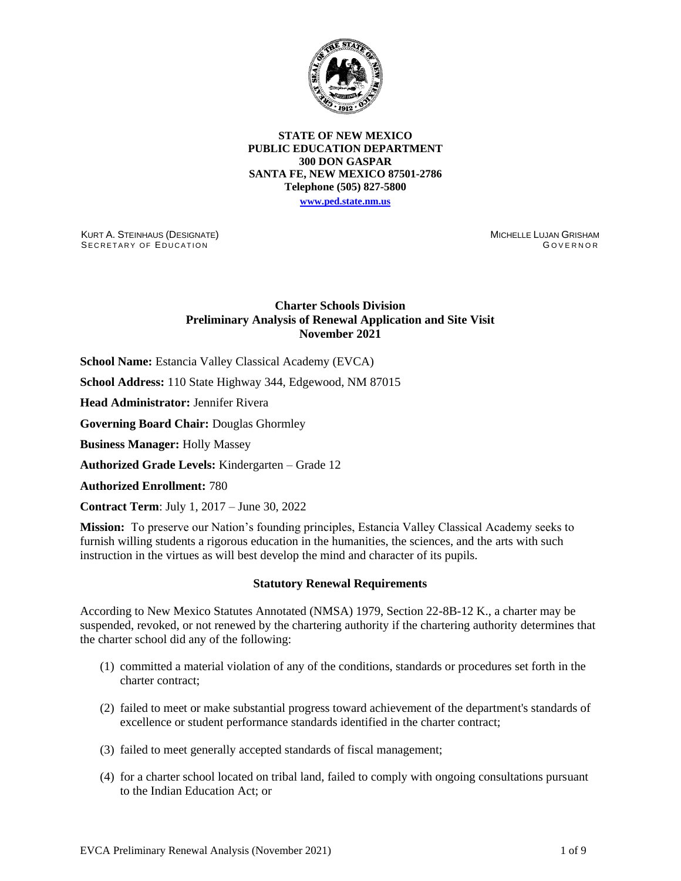

#### **STATE OF NEW MEXICO PUBLIC EDUCATION DEPARTMENT 300 DON GASPAR SANTA FE, NEW MEXICO 87501-2786 Telephone (505) 827-5800 [www.ped.state.nm.us](http://webnew.ped.state.nm.us/)**

KURT A. STEINHAUS (DESIGNATE) SECRETARY OF EDUCATION

MICHELLE LUJAN GRISHAM GOVERNOR

# **Charter Schools Division Preliminary Analysis of Renewal Application and Site Visit November 2021**

**School Name:** Estancia Valley Classical Academy (EVCA)

**School Address:** 110 State Highway 344, Edgewood, NM 87015

**Head Administrator:** Jennifer Rivera

**Governing Board Chair:** Douglas Ghormley

**Business Manager:** Holly Massey

**Authorized Grade Levels:** Kindergarten – Grade 12

**Authorized Enrollment:** 780

**Contract Term**: July 1, 2017 – June 30, 2022

**Mission:** To preserve our Nation's founding principles, Estancia Valley Classical Academy seeks to furnish willing students a rigorous education in the humanities, the sciences, and the arts with such instruction in the virtues as will best develop the mind and character of its pupils.

#### **Statutory Renewal Requirements**

According to New Mexico Statutes Annotated (NMSA) 1979, Section 22-8B-12 K., a charter may be suspended, revoked, or not renewed by the chartering authority if the chartering authority determines that the charter school did any of the following:

- (1) committed a material violation of any of the conditions, standards or procedures set forth in the charter contract;
- (2) failed to meet or make substantial progress toward achievement of the department's standards of excellence or student performance standards identified in the charter contract;
- (3) failed to meet generally accepted standards of fiscal management;
- (4) for a charter school located on tribal land, failed to comply with ongoing consultations pursuant to the Indian Education Act; or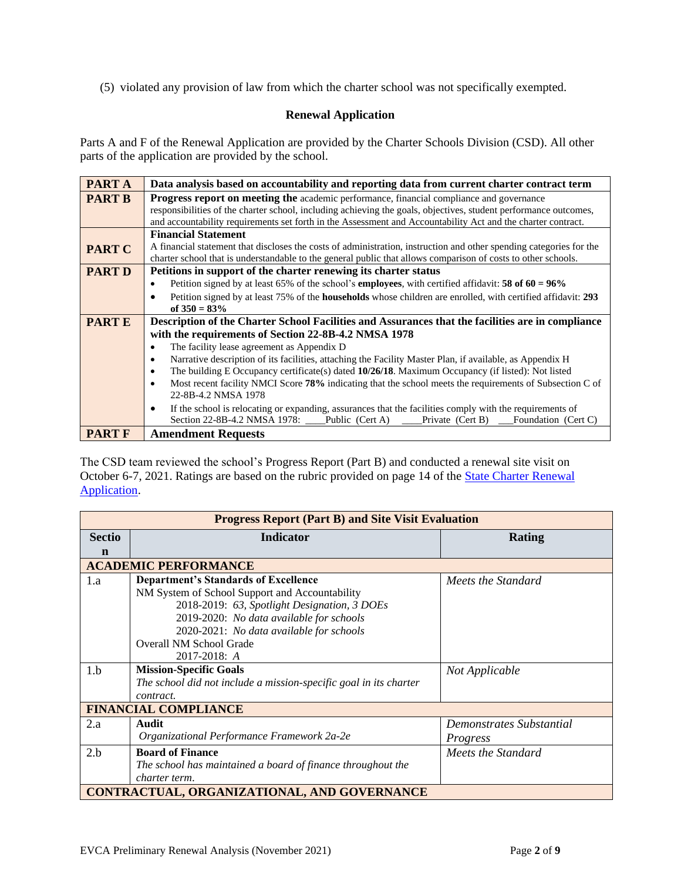(5) violated any provision of law from which the charter school was not specifically exempted.

# **Renewal Application**

Parts A and F of the Renewal Application are provided by the Charter Schools Division (CSD). All other parts of the application are provided by the school.

| <b>PARTA</b>  | Data analysis based on accountability and reporting data from current charter contract term                                      |  |  |  |  |  |
|---------------|----------------------------------------------------------------------------------------------------------------------------------|--|--|--|--|--|
| <b>PART B</b> | Progress report on meeting the academic performance, financial compliance and governance                                         |  |  |  |  |  |
|               | responsibilities of the charter school, including achieving the goals, objectives, student performance outcomes,                 |  |  |  |  |  |
|               | and accountability requirements set forth in the Assessment and Accountability Act and the charter contract.                     |  |  |  |  |  |
|               | <b>Financial Statement</b>                                                                                                       |  |  |  |  |  |
| <b>PART C</b> | A financial statement that discloses the costs of administration, instruction and other spending categories for the              |  |  |  |  |  |
|               | charter school that is understandable to the general public that allows comparison of costs to other schools.                    |  |  |  |  |  |
| <b>PART D</b> | Petitions in support of the charter renewing its charter status                                                                  |  |  |  |  |  |
|               | Petition signed by at least 65% of the school's <b>employees</b> , with certified affidavit: <b>58 of 60 = 96%</b><br>$\bullet$  |  |  |  |  |  |
|               | Petition signed by at least 75% of the <b>households</b> whose children are enrolled, with certified affidavit: 293<br>$\bullet$ |  |  |  |  |  |
|               | of $350 = 83\%$                                                                                                                  |  |  |  |  |  |
| <b>PARTE</b>  | Description of the Charter School Facilities and Assurances that the facilities are in compliance                                |  |  |  |  |  |
|               | with the requirements of Section 22-8B-4.2 NMSA 1978                                                                             |  |  |  |  |  |
|               | The facility lease agreement as Appendix D<br>$\bullet$                                                                          |  |  |  |  |  |
|               | Narrative description of its facilities, attaching the Facility Master Plan, if available, as Appendix H<br>٠                    |  |  |  |  |  |
|               | The building E Occupancy certificate(s) dated $10/26/18$ . Maximum Occupancy (if listed): Not listed<br>٠                        |  |  |  |  |  |
|               | Most recent facility NMCI Score 78% indicating that the school meets the requirements of Subsection C of<br>$\bullet$            |  |  |  |  |  |
|               | 22-8B-4.2 NMSA 1978                                                                                                              |  |  |  |  |  |
|               | If the school is relocating or expanding, assurances that the facilities comply with the requirements of<br>$\bullet$            |  |  |  |  |  |
|               | Section 22-8B-4.2 NMSA 1978:<br>Public (Cert A) $\qquad$<br>Private (Cert B)<br>Foundation (Cert C)                              |  |  |  |  |  |
| <b>PART F</b> | <b>Amendment Requests</b>                                                                                                        |  |  |  |  |  |

The CSD team reviewed the school's Progress Report (Part B) and conducted a renewal site visit on October 6-7, 2021. Ratings are based on the rubric provided on page 14 of the **State Charter Renewal** [Application.](https://webnew.ped.state.nm.us/bureaus/public-education-commission/policies-and-processes/renewal-application/)

| <b>Progress Report (Part B) and Site Visit Evaluation</b> |                                                                   |                          |  |  |  |  |
|-----------------------------------------------------------|-------------------------------------------------------------------|--------------------------|--|--|--|--|
| <b>Sectio</b>                                             | <b>Indicator</b>                                                  | Rating                   |  |  |  |  |
| n                                                         |                                                                   |                          |  |  |  |  |
|                                                           | <b>ACADEMIC PERFORMANCE</b>                                       |                          |  |  |  |  |
| 1.a                                                       | <b>Department's Standards of Excellence</b>                       | Meets the Standard       |  |  |  |  |
|                                                           | NM System of School Support and Accountability                    |                          |  |  |  |  |
|                                                           | 2018-2019: 63, Spotlight Designation, 3 DOEs                      |                          |  |  |  |  |
|                                                           | 2019-2020: No data available for schools                          |                          |  |  |  |  |
|                                                           | 2020-2021: No data available for schools                          |                          |  |  |  |  |
|                                                           | <b>Overall NM School Grade</b>                                    |                          |  |  |  |  |
|                                                           | 2017-2018: A                                                      |                          |  |  |  |  |
| 1.b                                                       | <b>Mission-Specific Goals</b>                                     | Not Applicable           |  |  |  |  |
|                                                           | The school did not include a mission-specific goal in its charter |                          |  |  |  |  |
|                                                           | contract.                                                         |                          |  |  |  |  |
|                                                           | <b>FINANCIAL COMPLIANCE</b>                                       |                          |  |  |  |  |
| 2.a                                                       | Audit                                                             | Demonstrates Substantial |  |  |  |  |
|                                                           | Organizational Performance Framework 2a-2e                        | Progress                 |  |  |  |  |
| 2.b                                                       | <b>Board of Finance</b>                                           | Meets the Standard       |  |  |  |  |
|                                                           | The school has maintained a board of finance throughout the       |                          |  |  |  |  |
|                                                           | charter term.                                                     |                          |  |  |  |  |
| CONTRACTUAL, ORGANIZATIONAL, AND GOVERNANCE               |                                                                   |                          |  |  |  |  |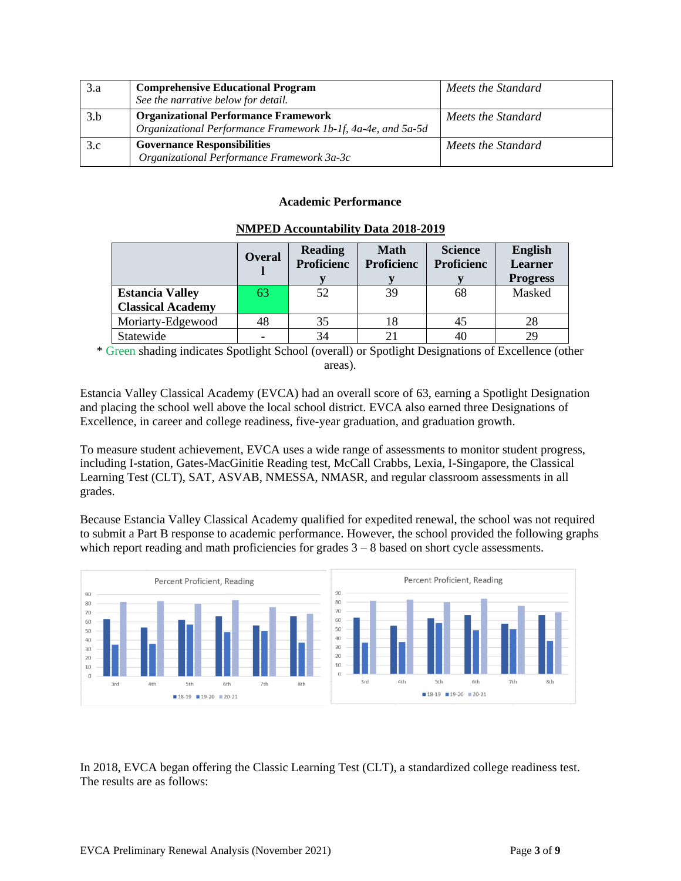| 3.a | <b>Comprehensive Educational Program</b><br>See the narrative below for detail.                             | Meets the Standard |
|-----|-------------------------------------------------------------------------------------------------------------|--------------------|
| 3.b | <b>Organizational Performance Framework</b><br>Organizational Performance Framework 1b-1f, 4a-4e, and 5a-5d | Meets the Standard |
| 3.c | <b>Governance Responsibilities</b><br>Organizational Performance Framework 3a-3c                            | Meets the Standard |

## **Academic Performance**

|                          | <b>Overal</b> | <b>Reading</b><br><b>Proficienc</b> | <b>Math</b><br><b>Proficienc</b> | <b>Science</b><br><b>Proficienc</b> | <b>English</b><br><b>Learner</b><br><b>Progress</b> |
|--------------------------|---------------|-------------------------------------|----------------------------------|-------------------------------------|-----------------------------------------------------|
| <b>Estancia Valley</b>   | 63            | 52                                  | 39                               | 68                                  | Masked                                              |
| <b>Classical Academy</b> |               |                                     |                                  |                                     |                                                     |
| Moriarty-Edgewood        | 48            | 35                                  | 18                               | 45                                  | 28                                                  |
| Statewide                |               | 34                                  |                                  | 40                                  | 29                                                  |

### **NMPED Accountability Data 2018-2019**

\* Green shading indicates Spotlight School (overall) or Spotlight Designations of Excellence (other areas).

Estancia Valley Classical Academy (EVCA) had an overall score of 63, earning a Spotlight Designation and placing the school well above the local school district. EVCA also earned three Designations of Excellence, in career and college readiness, five-year graduation, and graduation growth.

To measure student achievement, EVCA uses a wide range of assessments to monitor student progress, including I-station, Gates-MacGinitie Reading test, McCall Crabbs, Lexia, I-Singapore, the Classical Learning Test (CLT), SAT, ASVAB, NMESSA, NMASR, and regular classroom assessments in all grades.

Because Estancia Valley Classical Academy qualified for expedited renewal, the school was not required to submit a Part B response to academic performance. However, the school provided the following graphs which report reading and math proficiencies for grades  $3 - 8$  based on short cycle assessments.



In 2018, EVCA began offering the Classic Learning Test (CLT), a standardized college readiness test. The results are as follows: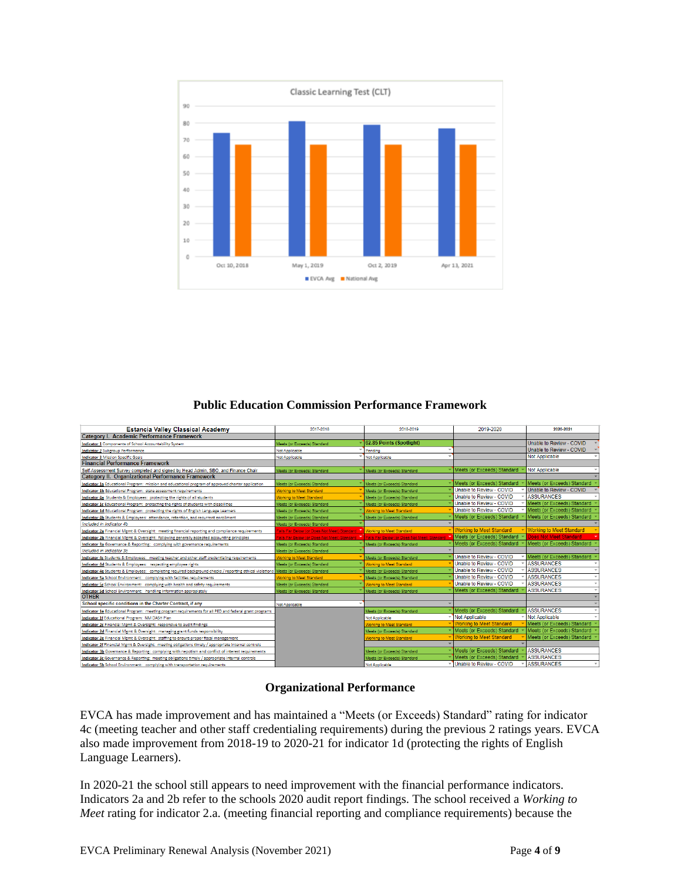

# **Public Education Commission Performance Framework**

| <b>Estancia Valley Classical Academy</b>                                                                                            | 2017-2018                                                                                 | 2018-2019                       | 2019-2020                       | 2020-2021                         |
|-------------------------------------------------------------------------------------------------------------------------------------|-------------------------------------------------------------------------------------------|---------------------------------|---------------------------------|-----------------------------------|
| Category I. Academic Performance Framework                                                                                          |                                                                                           |                                 |                                 |                                   |
| Indicator 1 Components of School Accountability System                                                                              | Meets (or Expeeds) Standard                                                               | 62.85 Points (Spotlight)        |                                 | Unable to Review - COVID          |
| <b>Indicator 2 Subgroup Performance</b>                                                                                             | Not Applicable                                                                            | Pendina                         |                                 | Unable to Review - COVID          |
| <b>Indicator 3 Mission Specific Goals</b>                                                                                           | Not Applicable                                                                            | Not Applicable                  |                                 | <b>Not Applicable</b>             |
| <b>Financial Performance Framework</b>                                                                                              |                                                                                           |                                 |                                 |                                   |
| Self-Assessment Survey completed and signed by Head Admin, SBO, and Finance Chair                                                   | Meets (or Exceeds) Standard                                                               | Meets (or Exceeds) Standard     | Meets (or Exceeds) Standard     | Not Applicable                    |
| Category II. Organizational Performance Framework                                                                                   |                                                                                           |                                 |                                 |                                   |
| Indicator 1a Educational Program: mission and educational program of approved charter application                                   | Meets (or Exceeds) Standard                                                               | Meets (or Exceeds) Standard     | Meets (or Exceeds) Standard     | Meets (or Exceeds) Standard       |
| Indicator 1b Educational Program: state assessment requirements                                                                     | <b>Vorking to Meet Standard</b>                                                           | Meets (or Exceeds) Standard     | Unable to Review - COVID        | Unable to Review - COVID          |
| Indicator 4a Students & Employees: protecting the rights of all students                                                            | <b>Vorking to Meet Standard</b>                                                           | Meets (or Exceeds) Standard     | Unable to Review - COVID        | <b>ASSURANCES</b>                 |
| Indicator 1c Educational Program: protecting the rights of students with disabilities                                               | Meets (or Exceeds) Standard                                                               | Meets (or Exceeds) Standard     | Unable to Review - COVID        | Meets (or Exceeds) Standard       |
| Indicator 1d Educational Program: protecting the rights of English Language Learners                                                | Meets (or Exceeds) Standard                                                               | <b>Working to Meet Standard</b> | Unable to Review - COVID        | Meets (or Exceeds) Standard       |
| Indicator 4b Students & Employees: attendance, retention, and recurrent enrollment                                                  | Meets (or Exceeds) Standard                                                               | Meets (or Exceeds) Standard     | Meets (or Exceeds) Standard     | Meets (or Exceeds) Standard       |
| Included in Indicator 4b                                                                                                            | Meets (or Exceeds) Standard                                                               |                                 |                                 |                                   |
| Indicator 2a Financial Mgmt & Oversight: meeting financial reporting and compliance requirements                                    | Falls Far Below (or Does Not Meet) Standard Munking to Meet Standard                      |                                 | <b>Working to Meet Standard</b> | ▼ Working to Meet Standard        |
| Indicator 2b Financial Mgmt & Oversight: following generally accepted accounting principles                                         | Falls Far Below (or Does Not Meet) Standard T Falls Far Below (or Does Not Meet) Standard |                                 | Meets (or Exceeds) Standard     | Does Not Meet Standard            |
| Indicator 3a Governance & Reporting: complying with governance requirements                                                         | Meets (or Exceeds) Standard                                                               | Meets (or Exceeds) Standard     | Meets (or Exceeds) Standard     | Meets (or Exceeds) Standard       |
| Included in Indicator 3c                                                                                                            | Meets (or Exceeds) Standard                                                               |                                 |                                 |                                   |
| Indicator 4c Students & Employees: meeting teacher and other staff credentialing requirements                                       | <b>Norking to Meet Standard</b>                                                           | Meets (or Exceeds) Standard     | Unable to Review - COVID        | Meets (or Exceeds) Standard       |
| Indicator 4d Students & Employees: respecting employee rights                                                                       | Meets (or Exceeds) Standard                                                               | <b>Working to Meet Standard</b> | Unable to Review - COVID        | <b>ASSURANCES</b>                 |
| Indicator 4e Students & Employees: completing required background checks / reporting ethical violations Meets (or Exceeds) Standard |                                                                                           | Meets (or Exceeds) Standard     | Unable to Review - COVID        | <b>ASSURANCES</b><br>$\mathbf{v}$ |
| Indicator 5a School Environment: complying with facilities requirements                                                             | <b>Norking to Meet Standard</b>                                                           | Meets (or Exceeds) Standard     | Unable to Review - COVID        | <b>ASSURANCES</b><br>$\mathbf{v}$ |
| Indicator Sc School Environment: complying with health and safety requirements                                                      | Meets (or Exceeds) Standard                                                               | <b>Norking to Meet Standard</b> | Unable to Review - COVID        | <b>ASSURANCES</b><br>$\mathbf{v}$ |
| Indicator 5d School Environment: handling information appropiately                                                                  | Meets (or Exceeds) Standard                                                               | Meets (or Exceeds) Standard     | Meets (or Exceeds) Standard     | <b>ASSURANCES</b><br>$\mathbf{v}$ |
| <b>OTHER</b>                                                                                                                        |                                                                                           |                                 |                                 | $\mathbf{v}$                      |
| School specific conditions in the Charter Contract, if any                                                                          | Not Applicable                                                                            |                                 |                                 |                                   |
| Indicator 1e Educational Program: meeting program requirements for all PED and federal grant programs                               |                                                                                           | Meets (or Exceeds) Standard     | Meets (or Exceeds) Standard     | <b>ASSURANCES</b>                 |
| Indicator 1f Educational Program: NM DASH Plan                                                                                      |                                                                                           | Not Applicable                  | Not Applicable                  | Not Applicable                    |
| Indicator 2c Financial Mgmt & Oversight: responsive to audit findings                                                               |                                                                                           | <b>Working to Meet Standard</b> | <b>Working to Meet Standard</b> | Meets (or Exceeds) Standard       |
| Indicator 2d Financial Mgmt & Oversight: managing grant funds responsibility                                                        |                                                                                           | Meets (or Exceeds) Standard     | Meets (or Exceeds) Standard     | Meets (or Exceeds) Standard       |
| Indicator 2e Financial Mgmt & Oversight: staffing to ensure proper fiscal management                                                |                                                                                           | <b>Working to Meet Standard</b> | <b>Working to Meet Standard</b> | Meets (or Exceeds) Standard       |
| Indicator 2f Financial Mgmt & Oversight: meeting obligations timely / appropriate internal controls                                 |                                                                                           |                                 |                                 |                                   |
| Indicator 3b Governance & Reporting: complying with nepotism and conflict of interest requirements                                  |                                                                                           | Meets (or Exceeds) Standard     | Meets (or Exceeds) Standard     | <b>ASSURANCES</b>                 |
| Indicator 3c Governance & Reporting: meeting obligations timely / appropriate internal controls                                     |                                                                                           | Meets (or Exceeds) Standard     | Meets (or Exceeds) Standard     | <b>ASSURANCES</b>                 |
| Indicator 5b School Environment: complying with transportation requirements                                                         |                                                                                           | Not Applicable                  | Unable to Review - COVID        | <b>ASSURANCES</b>                 |

## **Organizational Performance**

EVCA has made improvement and has maintained a "Meets (or Exceeds) Standard" rating for indicator 4c (meeting teacher and other staff credentialing requirements) during the previous 2 ratings years. EVCA also made improvement from 2018-19 to 2020-21 for indicator 1d (protecting the rights of English Language Learners).

In 2020-21 the school still appears to need improvement with the financial performance indicators. Indicators 2a and 2b refer to the schools 2020 audit report findings. The school received a *Working to Meet* rating for indicator 2.a. (meeting financial reporting and compliance requirements) because the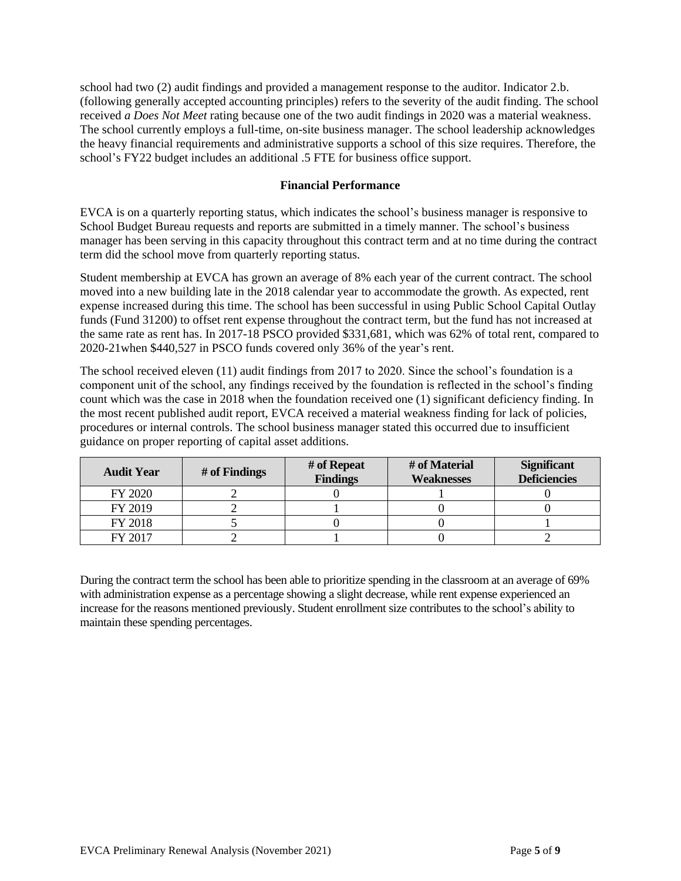school had two (2) audit findings and provided a management response to the auditor. Indicator 2.b. (following generally accepted accounting principles) refers to the severity of the audit finding. The school received *a Does Not Meet* rating because one of the two audit findings in 2020 was a material weakness. The school currently employs a full-time, on-site business manager. The school leadership acknowledges the heavy financial requirements and administrative supports a school of this size requires. Therefore, the school's FY22 budget includes an additional .5 FTE for business office support.

### **Financial Performance**

EVCA is on a quarterly reporting status, which indicates the school's business manager is responsive to School Budget Bureau requests and reports are submitted in a timely manner. The school's business manager has been serving in this capacity throughout this contract term and at no time during the contract term did the school move from quarterly reporting status.

Student membership at EVCA has grown an average of 8% each year of the current contract. The school moved into a new building late in the 2018 calendar year to accommodate the growth. As expected, rent expense increased during this time. The school has been successful in using Public School Capital Outlay funds (Fund 31200) to offset rent expense throughout the contract term, but the fund has not increased at the same rate as rent has. In 2017-18 PSCO provided \$331,681, which was 62% of total rent, compared to 2020-21when \$440,527 in PSCO funds covered only 36% of the year's rent.

The school received eleven (11) audit findings from 2017 to 2020. Since the school's foundation is a component unit of the school, any findings received by the foundation is reflected in the school's finding count which was the case in 2018 when the foundation received one (1) significant deficiency finding. In the most recent published audit report, EVCA received a material weakness finding for lack of policies, procedures or internal controls. The school business manager stated this occurred due to insufficient guidance on proper reporting of capital asset additions.

| <b>Audit Year</b> | # of Findings | # of Repeat<br><b>Findings</b> | # of Material<br><b>Weaknesses</b> | <b>Significant</b><br><b>Deficiencies</b> |
|-------------------|---------------|--------------------------------|------------------------------------|-------------------------------------------|
| FY 2020           |               |                                |                                    |                                           |
| FY 2019           |               |                                |                                    |                                           |
| FY 2018           |               |                                |                                    |                                           |
| FY 2017           |               |                                |                                    |                                           |

During the contract term the school has been able to prioritize spending in the classroom at an average of 69% with administration expense as a percentage showing a slight decrease, while rent expense experienced an increase for the reasons mentioned previously. Student enrollment size contributes to the school's ability to maintain these spending percentages.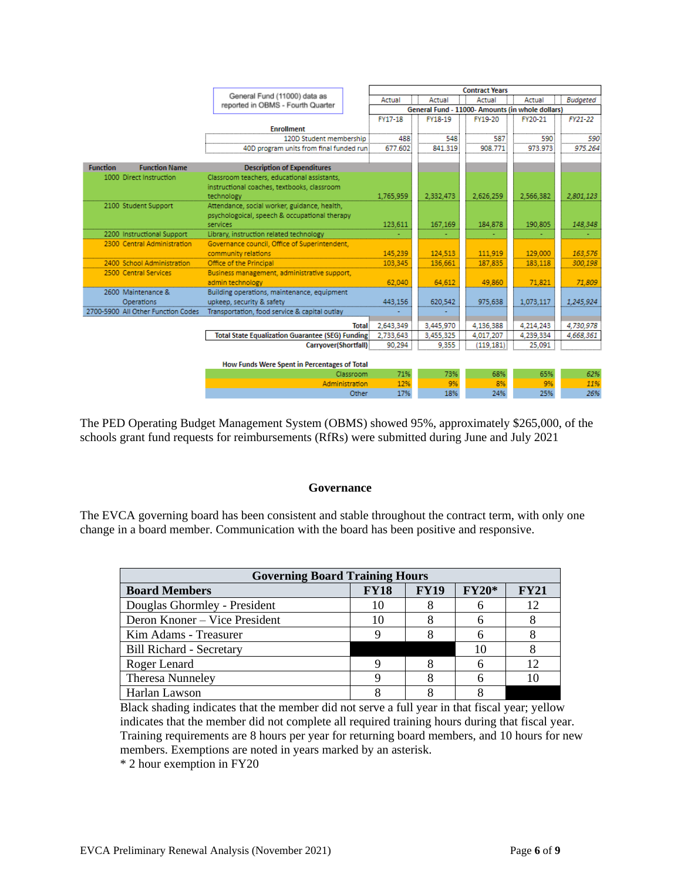|                 |                                    |                                                                   | <b>Contract Years</b>                            |           |           |           |                 |
|-----------------|------------------------------------|-------------------------------------------------------------------|--------------------------------------------------|-----------|-----------|-----------|-----------------|
|                 |                                    | General Fund (11000) data as<br>reported in OBMS - Fourth Quarter | Actual                                           | Actual    | Actual    | Actual    | <b>Budgeted</b> |
|                 |                                    |                                                                   | General Fund - 11000- Amounts (in whole dollars) |           |           |           |                 |
|                 |                                    |                                                                   | FY17-18                                          | FY18-19   | FY19-20   | FY20-21   | FY21-22         |
|                 |                                    | <b>Enrollment</b>                                                 |                                                  |           |           |           |                 |
|                 |                                    | 120D Student membership                                           | 488                                              | 548       | 587       | 590       | 590             |
|                 |                                    | 40D program units from final funded runi                          | 677.602                                          | 841.319   | 908.771   | 973.973   | 975.264         |
| <b>Function</b> | <b>Function Name</b>               | <b>Description of Expenditures</b>                                |                                                  |           |           |           |                 |
|                 |                                    |                                                                   |                                                  |           |           |           |                 |
|                 | 1000 Direct Instruction            | Classroom teachers, educational assistants,                       |                                                  |           |           |           |                 |
|                 |                                    | instructional coaches, textbooks, classroom<br>technology         | 1,765,959                                        | 2,332,473 | 2,626,259 | 2,566,382 | 2,801,123       |
|                 | 2100 Student Support               | Attendance, social worker, guidance, health,                      |                                                  |           |           |           |                 |
|                 |                                    | psychologoical, speech & occupational therapy                     |                                                  |           |           |           |                 |
|                 |                                    | services                                                          | 123,611                                          | 167,169   | 184.878   | 190.805   | 148,348         |
|                 | 2200 Instructional Support         | Library, instruction related technology                           |                                                  |           |           |           |                 |
|                 | 2300 Central Administration        | Governance council, Office of Superintendent,                     |                                                  |           |           |           |                 |
|                 |                                    | community relations                                               | 145.239                                          | 124,513   | 111.919   | 129,000   | 163,576         |
|                 | 2400 School Administration         | Office of the Principal                                           | 103.345                                          | 136.661   | 187,835   | 183,118   | 300.198         |
|                 | 2500 Central Services              | Business management, administrative support,                      |                                                  |           |           |           |                 |
|                 |                                    | admin technology                                                  | 62.040                                           | 64,612    | 49,860    | 71,821    | 71,809          |
|                 | 2600 Maintenance &                 | Building operations, maintenance, equipment                       |                                                  |           |           |           |                 |
|                 | Operations                         | upkeep, security & safety                                         | 443.156                                          | 620.542   | 975.638   | 1,073,117 | 1,245,924       |
|                 | 2700-5900 All Other Function Codes | Transportation, food service & capital outlay                     |                                                  |           |           |           |                 |
|                 |                                    | <b>Total</b>                                                      | 2,643,349                                        | 3.445.970 | 4.136.388 | 4,214,243 | 4,730,978       |
|                 |                                    | <b>Total State Equalization Guarantee (SEG) Funding</b>           | 2,733,643                                        | 3,455,325 | 4,017,207 | 4,239,334 | 4,668,361       |
|                 |                                    | Carryover(Shortfall)                                              | 90.294                                           | 9.355     | (119.181) | 25.091    |                 |
|                 |                                    |                                                                   |                                                  |           |           |           |                 |
|                 |                                    | How Funds Were Spent in Percentages of Total                      |                                                  |           |           |           |                 |
|                 |                                    | Classroom                                                         | 71%                                              | 73%       | 68%       | 65%       | 62%             |
|                 |                                    | Administration                                                    | 12%                                              | 9%        | 8%        | 9%        | 11%             |
|                 |                                    | Other                                                             | 17%                                              | 18%       | 24%       | 25%       | 26%             |

The PED Operating Budget Management System (OBMS) showed 95%, approximately \$265,000, of the schools grant fund requests for reimbursements (RfRs) were submitted during June and July 2021

#### **Governance**

The EVCA governing board has been consistent and stable throughout the contract term, with only one change in a board member. Communication with the board has been positive and responsive.

| <b>Governing Board Training Hours</b> |             |             |         |             |  |  |
|---------------------------------------|-------------|-------------|---------|-------------|--|--|
| <b>Board Members</b>                  | <b>FY18</b> | <b>FY19</b> | $FY20*$ | <b>FY21</b> |  |  |
| Douglas Ghormley - President          |             |             |         | 12          |  |  |
| Deron Knoner – Vice President         | 10          |             |         |             |  |  |
| Kim Adams - Treasurer                 |             |             |         |             |  |  |
| <b>Bill Richard - Secretary</b>       |             |             |         |             |  |  |
| Roger Lenard                          |             |             |         | 12          |  |  |
| <b>Theresa Nunneley</b>               |             |             |         |             |  |  |
| Harlan Lawson                         |             |             |         |             |  |  |

Black shading indicates that the member did not serve a full year in that fiscal year; yellow indicates that the member did not complete all required training hours during that fiscal year. Training requirements are 8 hours per year for returning board members, and 10 hours for new members. Exemptions are noted in years marked by an asterisk.

\* 2 hour exemption in FY20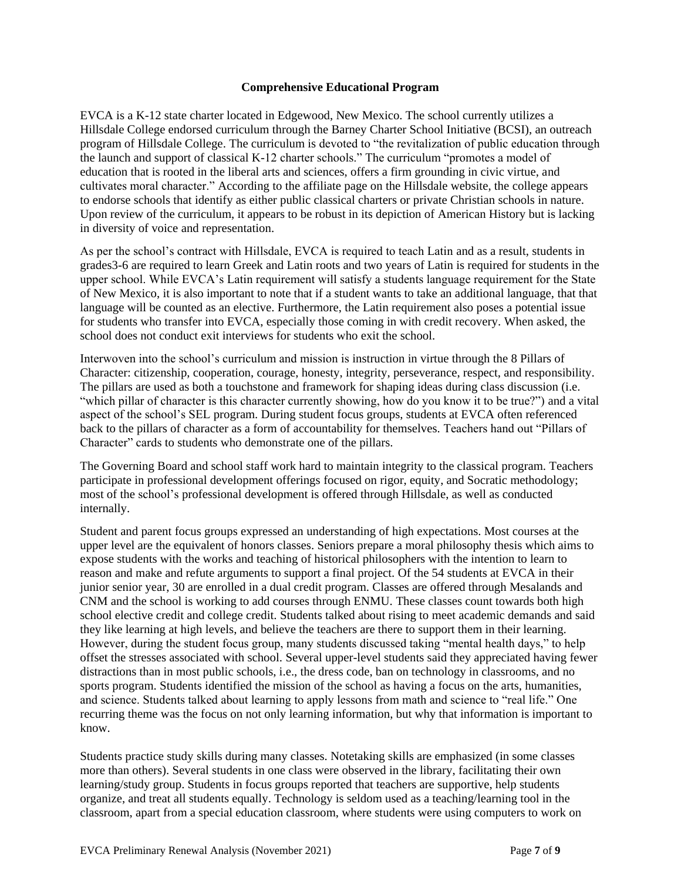### **Comprehensive Educational Program**

EVCA is a K-12 state charter located in Edgewood, New Mexico. The school currently utilizes a Hillsdale College endorsed curriculum through the Barney Charter School Initiative (BCSI), an outreach program of Hillsdale College. The curriculum is devoted to "the revitalization of public education through the launch and support of classical K-12 charter schools." The curriculum "promotes a model of education that is rooted in the liberal arts and sciences, offers a firm grounding in civic virtue, and cultivates moral character." According to the affiliate page on the Hillsdale website, the college appears to endorse schools that identify as either public classical charters or private Christian schools in nature. Upon review of the curriculum, it appears to be robust in its depiction of American History but is lacking in diversity of voice and representation.

As per the school's contract with Hillsdale, EVCA is required to teach Latin and as a result, students in grades3-6 are required to learn Greek and Latin roots and two years of Latin is required for students in the upper school. While EVCA's Latin requirement will satisfy a students language requirement for the State of New Mexico, it is also important to note that if a student wants to take an additional language, that that language will be counted as an elective. Furthermore, the Latin requirement also poses a potential issue for students who transfer into EVCA, especially those coming in with credit recovery. When asked, the school does not conduct exit interviews for students who exit the school.

Interwoven into the school's curriculum and mission is instruction in virtue through the 8 Pillars of Character: citizenship, cooperation, courage, honesty, integrity, perseverance, respect, and responsibility. The pillars are used as both a touchstone and framework for shaping ideas during class discussion (i.e. "which pillar of character is this character currently showing, how do you know it to be true?") and a vital aspect of the school's SEL program. During student focus groups, students at EVCA often referenced back to the pillars of character as a form of accountability for themselves. Teachers hand out "Pillars of Character" cards to students who demonstrate one of the pillars.

The Governing Board and school staff work hard to maintain integrity to the classical program. Teachers participate in professional development offerings focused on rigor, equity, and Socratic methodology; most of the school's professional development is offered through Hillsdale, as well as conducted internally.

Student and parent focus groups expressed an understanding of high expectations. Most courses at the upper level are the equivalent of honors classes. Seniors prepare a moral philosophy thesis which aims to expose students with the works and teaching of historical philosophers with the intention to learn to reason and make and refute arguments to support a final project. Of the 54 students at EVCA in their junior senior year, 30 are enrolled in a dual credit program. Classes are offered through Mesalands and CNM and the school is working to add courses through ENMU. These classes count towards both high school elective credit and college credit. Students talked about rising to meet academic demands and said they like learning at high levels, and believe the teachers are there to support them in their learning. However, during the student focus group, many students discussed taking "mental health days," to help offset the stresses associated with school. Several upper-level students said they appreciated having fewer distractions than in most public schools, i.e., the dress code, ban on technology in classrooms, and no sports program. Students identified the mission of the school as having a focus on the arts, humanities, and science. Students talked about learning to apply lessons from math and science to "real life." One recurring theme was the focus on not only learning information, but why that information is important to know.

Students practice study skills during many classes. Notetaking skills are emphasized (in some classes more than others). Several students in one class were observed in the library, facilitating their own learning/study group. Students in focus groups reported that teachers are supportive, help students organize, and treat all students equally. Technology is seldom used as a teaching/learning tool in the classroom, apart from a special education classroom, where students were using computers to work on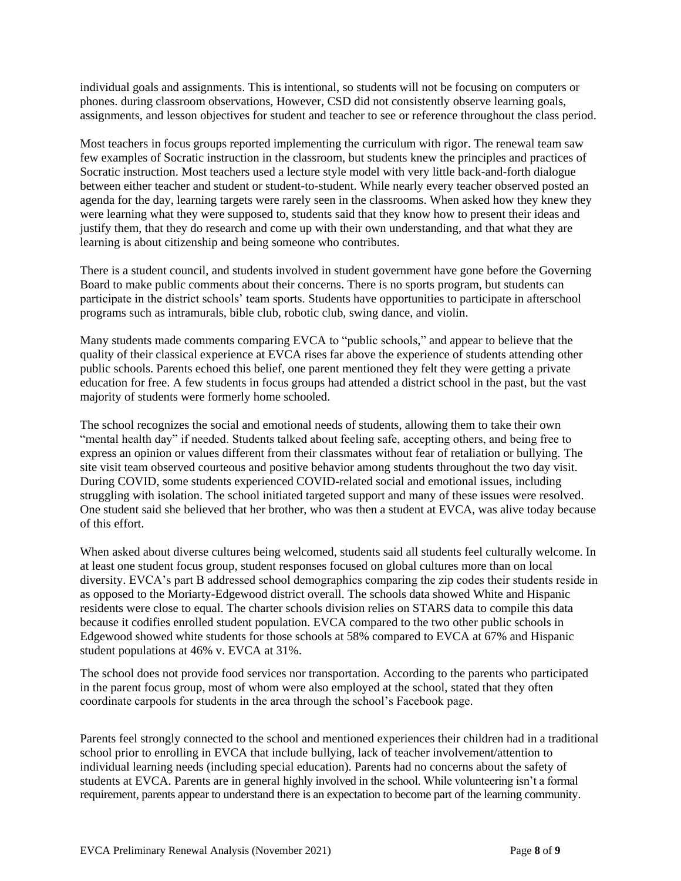individual goals and assignments. This is intentional, so students will not be focusing on computers or phones. during classroom observations, However, CSD did not consistently observe learning goals, assignments, and lesson objectives for student and teacher to see or reference throughout the class period.

Most teachers in focus groups reported implementing the curriculum with rigor. The renewal team saw few examples of Socratic instruction in the classroom, but students knew the principles and practices of Socratic instruction. Most teachers used a lecture style model with very little back-and-forth dialogue between either teacher and student or student-to-student. While nearly every teacher observed posted an agenda for the day, learning targets were rarely seen in the classrooms. When asked how they knew they were learning what they were supposed to, students said that they know how to present their ideas and justify them, that they do research and come up with their own understanding, and that what they are learning is about citizenship and being someone who contributes.

There is a student council, and students involved in student government have gone before the Governing Board to make public comments about their concerns. There is no sports program, but students can participate in the district schools' team sports. Students have opportunities to participate in afterschool programs such as intramurals, bible club, robotic club, swing dance, and violin.

Many students made comments comparing EVCA to "public schools," and appear to believe that the quality of their classical experience at EVCA rises far above the experience of students attending other public schools. Parents echoed this belief, one parent mentioned they felt they were getting a private education for free. A few students in focus groups had attended a district school in the past, but the vast majority of students were formerly home schooled.

The school recognizes the social and emotional needs of students, allowing them to take their own "mental health day" if needed. Students talked about feeling safe, accepting others, and being free to express an opinion or values different from their classmates without fear of retaliation or bullying. The site visit team observed courteous and positive behavior among students throughout the two day visit. During COVID, some students experienced COVID-related social and emotional issues, including struggling with isolation. The school initiated targeted support and many of these issues were resolved. One student said she believed that her brother, who was then a student at EVCA, was alive today because of this effort.

When asked about diverse cultures being welcomed, students said all students feel culturally welcome. In at least one student focus group, student responses focused on global cultures more than on local diversity. EVCA's part B addressed school demographics comparing the zip codes their students reside in as opposed to the Moriarty-Edgewood district overall. The schools data showed White and Hispanic residents were close to equal. The charter schools division relies on STARS data to compile this data because it codifies enrolled student population. EVCA compared to the two other public schools in Edgewood showed white students for those schools at 58% compared to EVCA at 67% and Hispanic student populations at 46% v. EVCA at 31%.

The school does not provide food services nor transportation. According to the parents who participated in the parent focus group, most of whom were also employed at the school, stated that they often coordinate carpools for students in the area through the school's Facebook page.

Parents feel strongly connected to the school and mentioned experiences their children had in a traditional school prior to enrolling in EVCA that include bullying, lack of teacher involvement/attention to individual learning needs (including special education). Parents had no concerns about the safety of students at EVCA. Parents are in general highly involved in the school. While volunteering isn't a formal requirement, parents appear to understand there is an expectation to become part of the learning community.